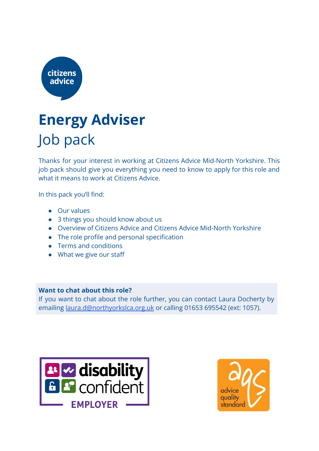

### **Energy Adviser** Job pack

Thanks for your interest in working at Citizens Advice Mid-North Yorkshire. This job pack should give you everything you need to know to apply for this role and what it means to work at Citizens Advice.

In this pack you'll find:

- Our values
- 3 things you should know about us
- Overview of Citizens Advice and Citizens Advice Mid-North Yorkshire
- The role profile and personal specification
- Terms and conditions
- What we give our staff

#### **Want to chat about this role?**

If you want to chat about the role further, you can contact Laura Docherty by emailing [laura.d@northyorkslca.org.uk](mailto:laura.d@northyorkslca.org.uk) or calling 01653 695542 (ext: 1057).



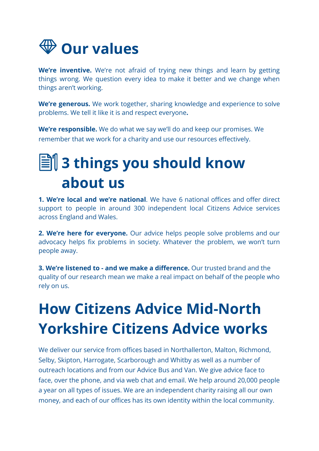

**We're inventive.** We're not afraid of trying new things and learn by getting things wrong. We question every idea to make it better and we change when things aren't working.

**We're generous.** We work together, sharing knowledge and experience to solve problems. We tell it like it is and respect everyone**.**

**We're responsible.** We do what we say we'll do and keep our promises. We remember that we work for a charity and use our resources effectively.

### **3 things you should know about us**

**1. We're local and we're national**. We have 6 national offices and offer direct support to people in around 300 independent local Citizens Advice services across England and Wales.

**2. We're here for everyone.** Our advice helps people solve problems and our advocacy helps fix problems in society. Whatever the problem, we won't turn people away.

**3. We're listened to - and we make a difference.** Our trusted brand and the quality of our research mean we make a real impact on behalf of the people who rely on us.

### **How Citizens Advice Mid-North Yorkshire Citizens Advice works**

We deliver our service from offices based in Northallerton, Malton, Richmond, Selby, Skipton, Harrogate, Scarborough and Whitby as well as a number of outreach locations and from our Advice Bus and Van. We give advice face to face, over the phone, and via web chat and email. We help around 20,000 people a year on all types of issues. We are an independent charity raising all our own money, and each of our offices has its own identity within the local community.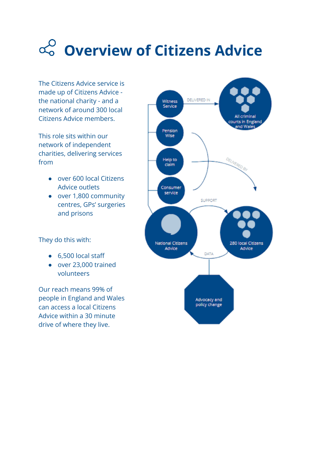### **Overview of Citizens Advice**

The Citizens Advice service is made up of Citizens Advice the national charity - and a network of around 300 local Citizens Advice members.

This role sits within our network of independent charities, delivering services from

- over 600 local Citizens Advice outlets
- over 1,800 community centres, GPs' surgeries and prisons

They do this with:

- 6,500 local staff
- over 23,000 trained volunteers

Our reach means 99% of people in England and Wales can access a local Citizens Advice within a 30 minute drive of where they live.

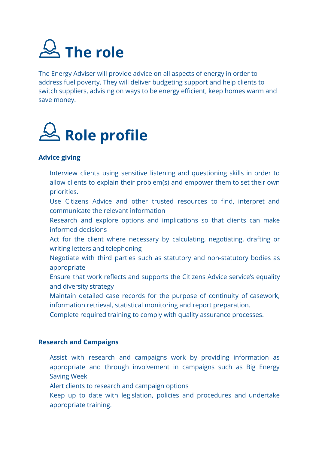# **The role**

The Energy Adviser will provide advice on all aspects of energy in order to address fuel poverty. They will deliver budgeting support and help clients to switch suppliers, advising on ways to be energy efficient, keep homes warm and save money.

## **Role profile**

#### **Advice giving**

- Interview clients using sensitive listening and questioning skills in order to allow clients to explain their problem(s) and empower them to set their own priorities.
- Use Citizens Advice and other trusted resources to find, interpret and communicate the relevant information
- Research and explore options and implications so that clients can make informed decisions
- Act for the client where necessary by calculating, negotiating, drafting or writing letters and telephoning
- Negotiate with third parties such as statutory and non-statutory bodies as appropriate
- Ensure that work reflects and supports the Citizens Advice service's equality and diversity strategy
- Maintain detailed case records for the purpose of continuity of casework, information retrieval, statistical monitoring and report preparation.
- Complete required training to comply with quality assurance processes.

#### **Research and Campaigns**

- Assist with research and campaigns work by providing information as appropriate and through involvement in campaigns such as Big Energy Saving Week
- Alert clients to research and campaign options
- Keep up to date with legislation, policies and procedures and undertake appropriate training.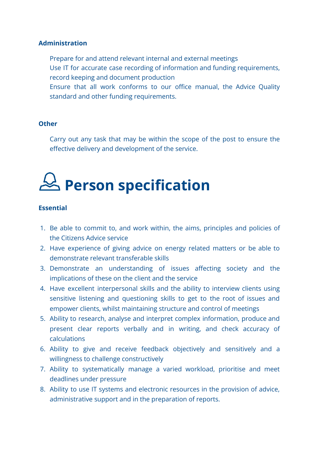#### **Administration**

Prepare for and attend relevant internal and external meetings Use IT for accurate case recording of information and funding requirements, record keeping and document production Ensure that all work conforms to our office manual, the Advice Quality

standard and other funding requirements.

#### **Other**

Carry out any task that may be within the scope of the post to ensure the effective delivery and development of the service.

### **Person specification**

#### **Essential**

- 1. Be able to commit to, and work within, the aims, principles and policies of the Citizens Advice service
- 2. Have experience of giving advice on energy related matters or be able to demonstrate relevant transferable skills
- 3. Demonstrate an understanding of issues affecting society and the implications of these on the client and the service
- 4. Have excellent interpersonal skills and the ability to interview clients using sensitive listening and questioning skills to get to the root of issues and empower clients, whilst maintaining structure and control of meetings
- 5. Ability to research, analyse and interpret complex information, produce and present clear reports verbally and in writing, and check accuracy of calculations
- 6. Ability to give and receive feedback objectively and sensitively and a willingness to challenge constructively
- 7. Ability to systematically manage a varied workload, prioritise and meet deadlines under pressure
- 8. Ability to use IT systems and electronic resources in the provision of advice, administrative support and in the preparation of reports.